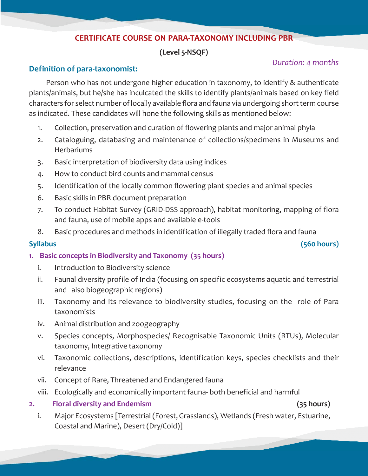### **CERTIFICATE COURSE ON PARA-TAXONOMY INCLUDING PBR**

### **(Level 5-NSQF)**

# *Duration: 4 months* **Definition of para-taxonomist:**

Person who has not undergone higher education in taxonomy, to identify & authenticate plants/animals, but he/she has inculcated the skills to identify plants/animals based on key field characters for select number of locally available flora and fauna via undergoing short term course as indicated. These candidates will hone the following skills as mentioned below:

- 1. Collection, preservation and curation of flowering plants and major animal phyla
- 2. Cataloguing, databasing and maintenance of collections/specimens in Museums and **Herbariums**
- 3. Basic interpretation of biodiversity data using indices
- 4. How to conduct bird counts and mammal census
- 5. Identification of the locally common flowering plant species and animal species
- 6. Basic skills in PBR document preparation
- 7. To conduct Habitat Survey (GRID-DSS approach), habitat monitoring, mapping of flora and fauna, use of mobile apps and available e-tools
- 8. Basic procedures and methods in identification of illegally traded flora and fauna

**Syllabus (560 hours)**

- **1. Basic concepts in Biodiversity and Taxonomy (35 hours)**
	- i. Introduction to Biodiversity science
	- ii. Faunal diversity profile of India (focusing on specific ecosystems aquatic and terrestrial and also biogeographic regions)
	- iii. Taxonomy and its relevance to biodiversity studies, focusing on the role of Para taxonomists
	- iv. Animal distribution and zoogeography
	- v. Species concepts, Morphospecies/ Recognisable Taxonomic Units (RTUs), Molecular taxonomy, Integrative taxonomy
	- vi. Taxonomic collections, descriptions, identification keys, species checklists and their relevance
	- vii. Concept of Rare, Threatened and Endangered fauna
	- viii. Ecologically and economically important fauna- both beneficial and harmful

### **2. Floral diversity and Endemism (35 hours)**

i. Major Ecosystems [Terrestrial (Forest, Grasslands), Wetlands (Fresh water, Estuarine, Coastal and Marine), Desert (Dry/Cold)]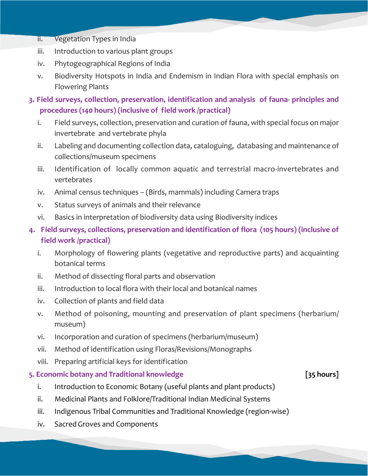- ii. Vegetation Types in India
- iii. Introduction to various plant groups
- iv. Phytogeographical Regions of India
- v. Biodiversity Hotspots in India and Endemism in Indian Flora with special emphasis on Flowering Plants
- **3. Field surveys, collection, preservation, identification and analysis of fauna- principles and procedures (140 hours) (inclusive of field work /practical)**
	- i. Field surveys, collection, preservation and curation of fauna, with special focus on major invertebrate and vertebrate phyla
	- ii. Labeling and documenting collection data, cataloguing, databasing and maintenance of collections/museum specimens
	- iii. Identification of locally common aquatic and terrestrial macro-invertebrates and vertebrates
	- iv. Animal census techniques (Birds, mammals) including Camera traps
	- v. Status surveys of animals and their relevance
	- vi. Basics in interpretation of biodiversity data using Biodiversity indices
- **4. Field surveys, collections, preservation and identification of flora (105 hours) (inclusive of field work /practical)**
	- i. Morphology of flowering plants (vegetative and reproductive parts) and acquainting botanical terms
	- ii. Method of dissecting floral parts and observation
	- iii. Introduction to local flora with their local and botanical names
	- iv. Collection of plants and field data
	- v. Method of poisoning, mounting and preservation of plant specimens (herbarium/ museum)
	- vi. Incorporation and curation of specimens (herbarium/museum)
	- vii. Method of identification using Floras/Revisions/Monographs
	- viii. Preparing artificial keys for identification

# **5. Economic botany and Traditional knowledge [35 hours]**

- i. Introduction to Economic Botany (useful plants and plant products)
- ii. Medicinal Plants and Folklore/Traditional Indian Medicinal Systems
- iii. Indigenous Tribal Communities and Traditional Knowledge (region-wise)
- iv. Sacred Groves and Components